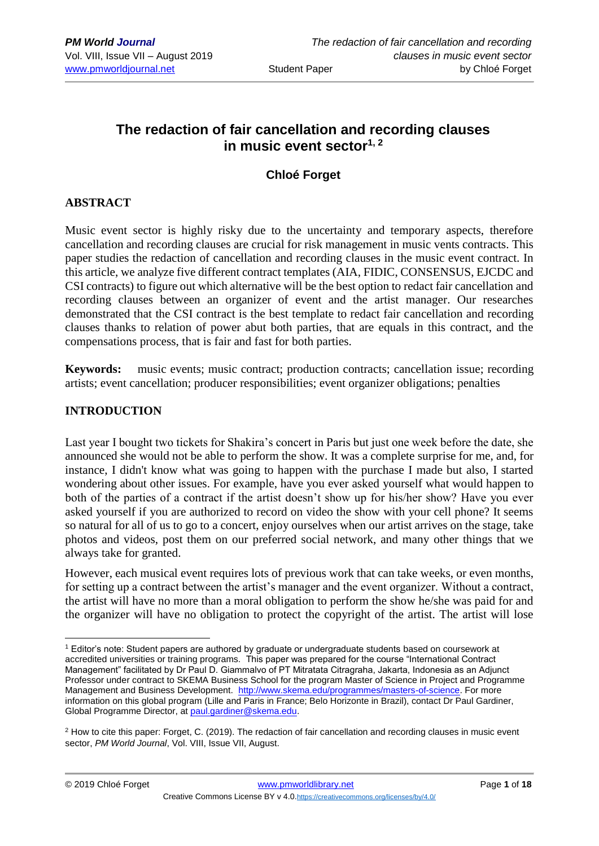# **The redaction of fair cancellation and recording clauses in music event sector1, 2**

## **Chloé Forget**

## **ABSTRACT**

Music event sector is highly risky due to the uncertainty and temporary aspects, therefore cancellation and recording clauses are crucial for risk management in music vents contracts. This paper studies the redaction of cancellation and recording clauses in the music event contract. In this article, we analyze five different contract templates (AIA, FIDIC, CONSENSUS, EJCDC and CSI contracts) to figure out which alternative will be the best option to redact fair cancellation and recording clauses between an organizer of event and the artist manager. Our researches demonstrated that the CSI contract is the best template to redact fair cancellation and recording clauses thanks to relation of power abut both parties, that are equals in this contract, and the compensations process, that is fair and fast for both parties.

**Keywords:** music events; music contract; production contracts; cancellation issue; recording artists; event cancellation; producer responsibilities; event organizer obligations; penalties

## **INTRODUCTION**

<u>.</u>

Last year I bought two tickets for Shakira's concert in Paris but just one week before the date, she announced she would not be able to perform the show. It was a complete surprise for me, and, for instance, I didn't know what was going to happen with the purchase I made but also, I started wondering about other issues. For example, have you ever asked yourself what would happen to both of the parties of a contract if the artist doesn't show up for his/her show? Have you ever asked yourself if you are authorized to record on video the show with your cell phone? It seems so natural for all of us to go to a concert, enjoy ourselves when our artist arrives on the stage, take photos and videos, post them on our preferred social network, and many other things that we always take for granted.

However, each musical event requires lots of previous work that can take weeks, or even months, for setting up a contract between the artist's manager and the event organizer. Without a contract, the artist will have no more than a moral obligation to perform the show he/she was paid for and the organizer will have no obligation to protect the copyright of the artist. The artist will lose

<sup>1</sup> Editor's note: Student papers are authored by graduate or undergraduate students based on coursework at accredited universities or training programs. This paper was prepared for the course "International Contract Management" facilitated by Dr Paul D. Giammalvo of PT Mitratata Citragraha, Jakarta, Indonesia as an Adjunct Professor under contract to SKEMA Business School for the program Master of Science in Project and Programme Management and Business Development. [http://www.skema.edu/programmes/masters-of-science.](http://www.skema.edu/programmes/masters-of-science) For more information on this global program (Lille and Paris in France; Belo Horizonte in Brazil), contact Dr Paul Gardiner, Global Programme Director, at [paul.gardiner@skema.edu.](mailto:paul.gardiner@skema.edu)

<sup>2</sup> How to cite this paper: Forget, C. (2019). The redaction of fair cancellation and recording clauses in music event sector, *PM World Journal*, Vol. VIII, Issue VII, August.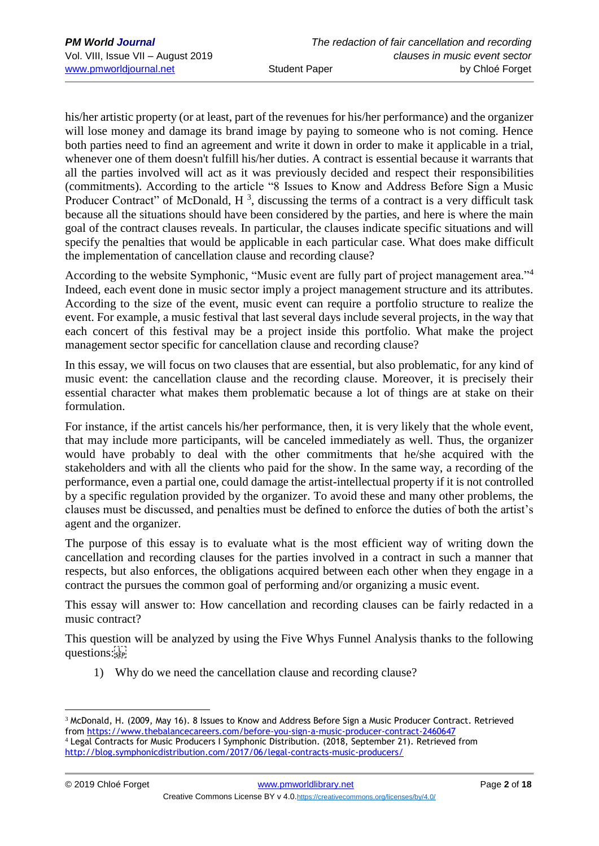his/her artistic property (or at least, part of the revenues for his/her performance) and the organizer will lose money and damage its brand image by paying to someone who is not coming. Hence both parties need to find an agreement and write it down in order to make it applicable in a trial, whenever one of them doesn't fulfill his/her duties. A contract is essential because it warrants that all the parties involved will act as it was previously decided and respect their responsibilities (commitments). According to the article "8 Issues to Know and Address Before Sign a Music Producer Contract" of McDonald,  $H^3$ , discussing the terms of a contract is a very difficult task because all the situations should have been considered by the parties, and here is where the main goal of the contract clauses reveals. In particular, the clauses indicate specific situations and will specify the penalties that would be applicable in each particular case. What does make difficult the implementation of cancellation clause and recording clause?

According to the website Symphonic, "Music event are fully part of project management area."<sup>4</sup> Indeed, each event done in music sector imply a project management structure and its attributes. According to the size of the event, music event can require a portfolio structure to realize the event. For example, a music festival that last several days include several projects, in the way that each concert of this festival may be a project inside this portfolio. What make the project management sector specific for cancellation clause and recording clause?

In this essay, we will focus on two clauses that are essential, but also problematic, for any kind of music event: the cancellation clause and the recording clause. Moreover, it is precisely their essential character what makes them problematic because a lot of things are at stake on their formulation.

For instance, if the artist cancels his/her performance, then, it is very likely that the whole event, that may include more participants, will be canceled immediately as well. Thus, the organizer would have probably to deal with the other commitments that he/she acquired with the stakeholders and with all the clients who paid for the show. In the same way, a recording of the performance, even a partial one, could damage the artist-intellectual property if it is not controlled by a specific regulation provided by the organizer. To avoid these and many other problems, the clauses must be discussed, and penalties must be defined to enforce the duties of both the artist's agent and the organizer.

The purpose of this essay is to evaluate what is the most efficient way of writing down the cancellation and recording clauses for the parties involved in a contract in such a manner that respects, but also enforces, the obligations acquired between each other when they engage in a contract the pursues the common goal of performing and/or organizing a music event.

This essay will answer to: How cancellation and recording clauses can be fairly redacted in a music contract?

This question will be analyzed by using the Five Whys Funnel Analysis thanks to the following questions:

1) Why do we need the cancellation clause and recording clause?

<sup>1</sup> <sup>3</sup> McDonald, H. (2009, May 16). 8 Issues to Know and Address Before Sign a Music Producer Contract. Retrieved from<https://www.thebalancecareers.com/before-you-sign-a-music-producer-contract-2460647>

<sup>4</sup> Legal Contracts for Music Producers I Symphonic Distribution. (2018, September 21). Retrieved from <http://blog.symphonicdistribution.com/2017/06/legal-contracts-music-producers/>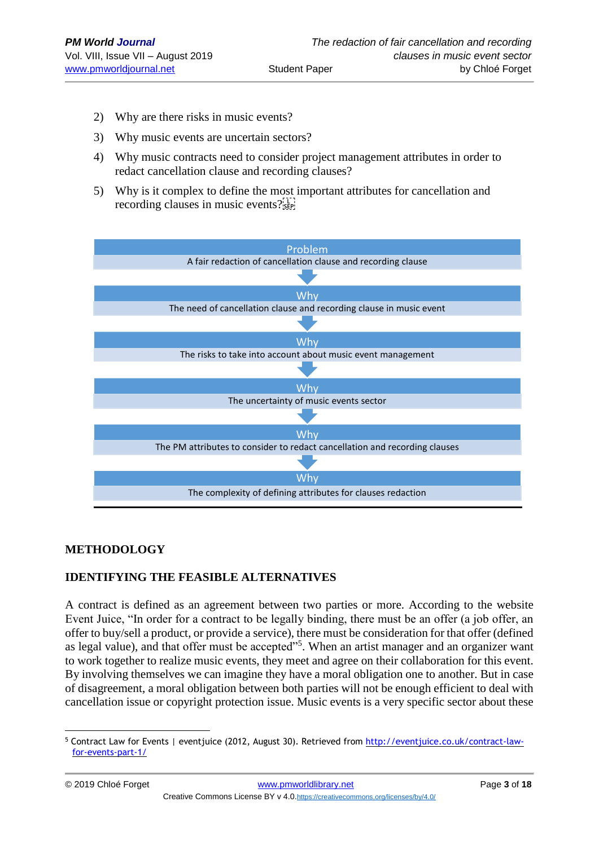- 2) Why are there risks in music events?
- 3) Why music events are uncertain sectors?
- 4) Why music contracts need to consider project management attributes in order to redact cancellation clause and recording clauses?
- 5) Why is it complex to define the most important attributes for cancellation and recording clauses in music events?



## **METHODOLOGY**

## **IDENTIFYING THE FEASIBLE ALTERNATIVES**

A contract is defined as an agreement between two parties or more. According to the website Event Juice, "In order for a contract to be legally binding, there must be an offer (a job offer, an offer to buy/sell a product, or provide a service), there must be consideration for that offer (defined as legal value), and that offer must be accepted"<sup>5</sup>. When an artist manager and an organizer want to work together to realize music events, they meet and agree on their collaboration for this event. By involving themselves we can imagine they have a moral obligation one to another. But in case of disagreement, a moral obligation between both parties will not be enough efficient to deal with cancellation issue or copyright protection issue. Music events is a very specific sector about these

<sup>&</sup>lt;u>.</u> <sup>5</sup> Contract Law for Events | eventjuice (2012, August 30). Retrieved from [http://eventjuice.co.uk/contract-law](http://eventjuice.co.uk/contract-law-for-events-part-1/)[for-events-part-1/](http://eventjuice.co.uk/contract-law-for-events-part-1/)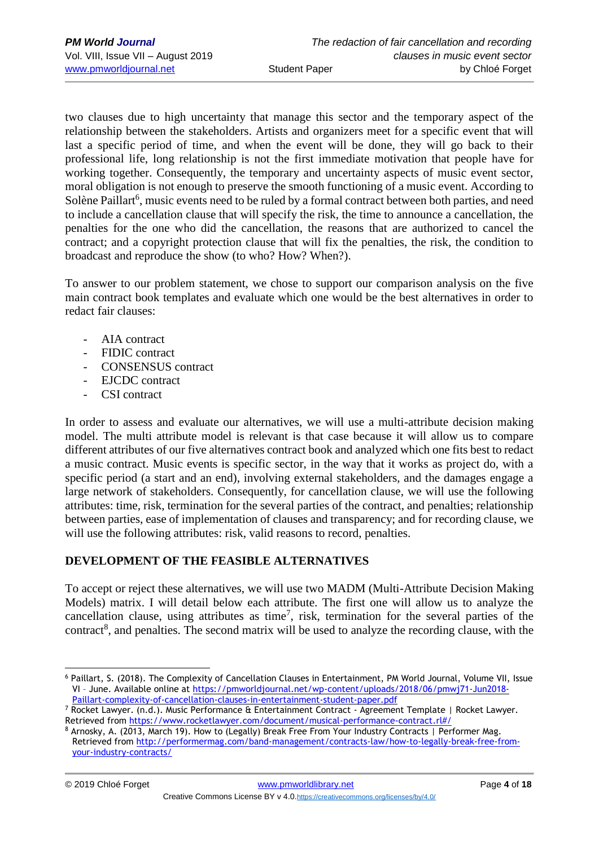two clauses due to high uncertainty that manage this sector and the temporary aspect of the relationship between the stakeholders. Artists and organizers meet for a specific event that will last a specific period of time, and when the event will be done, they will go back to their professional life, long relationship is not the first immediate motivation that people have for working together. Consequently, the temporary and uncertainty aspects of music event sector, moral obligation is not enough to preserve the smooth functioning of a music event. According to Solène Paillart<sup>6</sup>, music events need to be ruled by a formal contract between both parties, and need to include a cancellation clause that will specify the risk, the time to announce a cancellation, the penalties for the one who did the cancellation, the reasons that are authorized to cancel the contract; and a copyright protection clause that will fix the penalties, the risk, the condition to broadcast and reproduce the show (to who? How? When?).

To answer to our problem statement, we chose to support our comparison analysis on the five main contract book templates and evaluate which one would be the best alternatives in order to redact fair clauses:

- AIA contract
- FIDIC contract
- CONSENSUS contract
- EJCDC contract
- CSI contract

In order to assess and evaluate our alternatives, we will use a multi-attribute decision making model. The multi attribute model is relevant is that case because it will allow us to compare different attributes of our five alternatives contract book and analyzed which one fits best to redact a music contract. Music events is specific sector, in the way that it works as project do, with a specific period (a start and an end), involving external stakeholders, and the damages engage a large network of stakeholders. Consequently, for cancellation clause, we will use the following attributes: time, risk, termination for the several parties of the contract, and penalties; relationship between parties, ease of implementation of clauses and transparency; and for recording clause, we will use the following attributes: risk, valid reasons to record, penalties.

## **DEVELOPMENT OF THE FEASIBLE ALTERNATIVES**

To accept or reject these alternatives, we will use two MADM (Multi-Attribute Decision Making Models) matrix. I will detail below each attribute. The first one will allow us to analyze the cancellation clause, using attributes as time<sup>7</sup>, risk, termination for the several parties of the contract<sup>8</sup>, and penalties. The second matrix will be used to analyze the recording clause, with the

<sup>&</sup>lt;u>.</u> <sup>6</sup> Paillart, S. (2018). The Complexity of Cancellation Clauses in Entertainment, PM World Journal, Volume VII, Issue VI – June. Available online at [https://pmworldjournal.net/wp-content/uploads/2018/06/pmwj71-Jun2018-](https://pmworldjournal.net/wp-content/uploads/2018/06/pmwj71-Jun2018-Paillart-complexity-of-cancellation-clauses-in-entertainment-student-paper.pdf) [Paillart-complexity-of-cancellation-clauses-in-entertainment-student-paper.pdf](https://pmworldjournal.net/wp-content/uploads/2018/06/pmwj71-Jun2018-Paillart-complexity-of-cancellation-clauses-in-entertainment-student-paper.pdf)

<sup>7</sup> Rocket Lawyer. (n.d.). Music Performance & Entertainment Contract - Agreement Template | Rocket Lawyer. Retrieved from<https://www.rocketlawyer.com/document/musical-performance-contract.rl#/>

<sup>8</sup> Arnosky, A. (2013, March 19). How to (Legally) Break Free From Your Industry Contracts | Performer Mag. Retrieved from [http://performermag.com/band-management/contracts-law/how-to-legally-break-free-from](http://performermag.com/band-management/contracts-law/how-to-legally-break-free-from-your-industry-contracts/)[your-industry-contracts/](http://performermag.com/band-management/contracts-law/how-to-legally-break-free-from-your-industry-contracts/)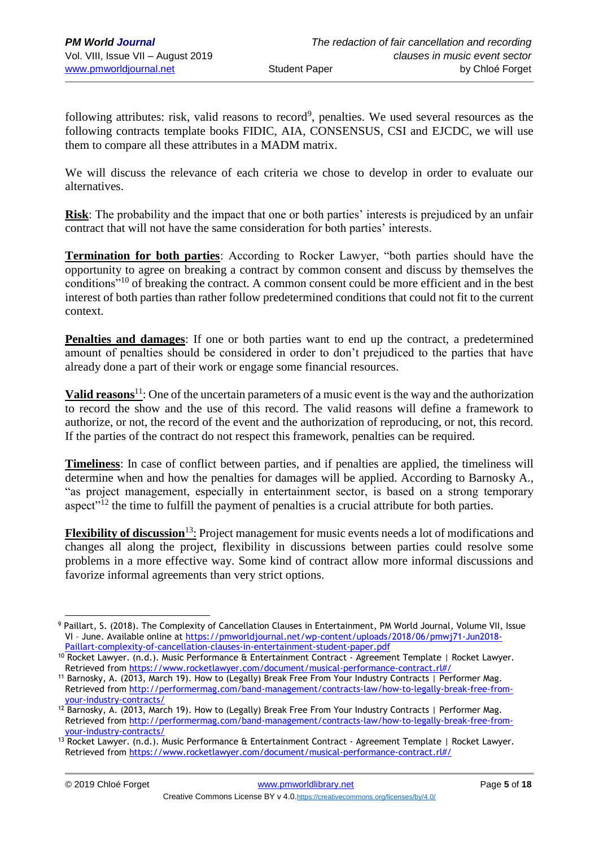following attributes: risk, valid reasons to record<sup>9</sup>, penalties. We used several resources as the following contracts template books FIDIC, AIA, CONSENSUS, CSI and EJCDC, we will use them to compare all these attributes in a MADM matrix.

We will discuss the relevance of each criteria we chose to develop in order to evaluate our alternatives.

**Risk**: The probability and the impact that one or both parties' interests is prejudiced by an unfair contract that will not have the same consideration for both parties' interests.

**Termination for both parties**: According to Rocker Lawyer, "both parties should have the opportunity to agree on breaking a contract by common consent and discuss by themselves the conditions"<sup>10</sup> of breaking the contract. A common consent could be more efficient and in the best interest of both parties than rather follow predetermined conditions that could not fit to the current context.

**Penalties and damages**: If one or both parties want to end up the contract, a predetermined amount of penalties should be considered in order to don't prejudiced to the parties that have already done a part of their work or engage some financial resources.

**Valid reasons**<sup>11</sup>: One of the uncertain parameters of a music event is the way and the authorization to record the show and the use of this record. The valid reasons will define a framework to authorize, or not, the record of the event and the authorization of reproducing, or not, this record. If the parties of the contract do not respect this framework, penalties can be required.

**Timeliness**: In case of conflict between parties, and if penalties are applied, the timeliness will determine when and how the penalties for damages will be applied. According to Barnosky A., "as project management, especially in entertainment sector, is based on a strong temporary aspect $\frac{1}{2}$  the time to fulfill the payment of penalties is a crucial attribute for both parties.

**Flexibility of discussion**<sup>13</sup>: Project management for music events needs a lot of modifications and changes all along the project, flexibility in discussions between parties could resolve some problems in a more effective way. Some kind of contract allow more informal discussions and favorize informal agreements than very strict options.

<sup>1</sup> <sup>9</sup> Paillart, S. (2018). The Complexity of Cancellation Clauses in Entertainment, PM World Journal, Volume VII, Issue VI – June. Available online at [https://pmworldjournal.net/wp-content/uploads/2018/06/pmwj71-Jun2018-](https://pmworldjournal.net/wp-content/uploads/2018/06/pmwj71-Jun2018-Paillart-complexity-of-cancellation-clauses-in-entertainment-student-paper.pdf) [Paillart-complexity-of-cancellation-clauses-in-entertainment-student-paper.pdf](https://pmworldjournal.net/wp-content/uploads/2018/06/pmwj71-Jun2018-Paillart-complexity-of-cancellation-clauses-in-entertainment-student-paper.pdf)

<sup>10</sup> Rocket Lawyer. (n.d.). Music Performance & Entertainment Contract - Agreement Template | Rocket Lawyer. Retrieved from<https://www.rocketlawyer.com/document/musical-performance-contract.rl#/>

<sup>11</sup> Barnosky, A. (2013, March 19). How to (Legally) Break Free From Your Industry Contracts | Performer Mag. Retrieved from [http://performermag.com/band-management/contracts-law/how-to-legally-break-free-from](http://performermag.com/band-management/contracts-law/how-to-legally-break-free-from-your-industry-contracts/)[your-industry-contracts/](http://performermag.com/band-management/contracts-law/how-to-legally-break-free-from-your-industry-contracts/)

<sup>12</sup> Barnosky, A. (2013, March 19). How to (Legally) Break Free From Your Industry Contracts | Performer Mag. Retrieved from [http://performermag.com/band-management/contracts-law/how-to-legally-break-free-from](http://performermag.com/band-management/contracts-law/how-to-legally-break-free-from-your-industry-contracts/)[your-industry-contracts/](http://performermag.com/band-management/contracts-law/how-to-legally-break-free-from-your-industry-contracts/)

<sup>&</sup>lt;sup>13</sup> Rocket Lawyer. (n.d.). Music Performance & Entertainment Contract - Agreement Template | Rocket Lawyer. Retrieved from<https://www.rocketlawyer.com/document/musical-performance-contract.rl#/>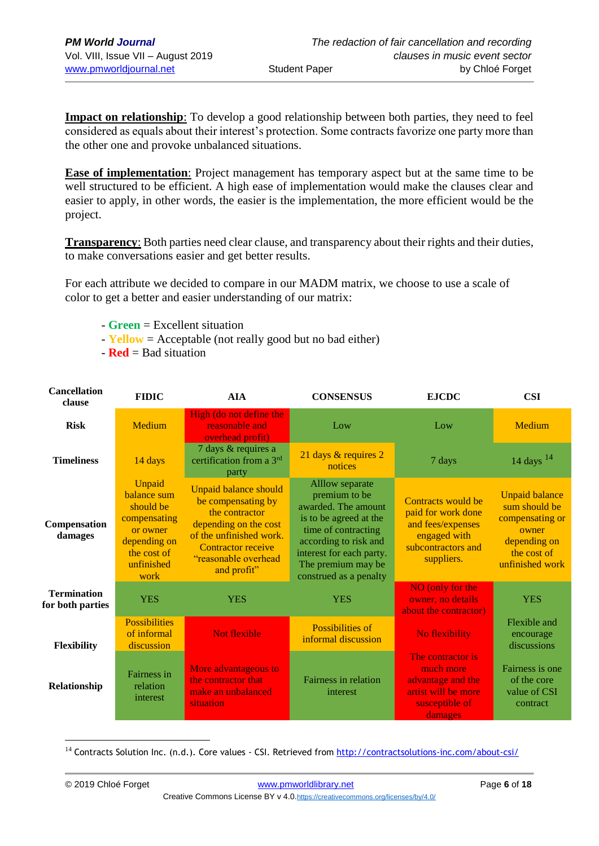**Impact on relationship**: To develop a good relationship between both parties, they need to feel considered as equals about their interest's protection. Some contracts favorize one party more than the other one and provoke unbalanced situations.

**Ease of implementation**: Project management has temporary aspect but at the same time to be well structured to be efficient. A high ease of implementation would make the clauses clear and easier to apply, in other words, the easier is the implementation, the more efficient would be the project.

**Transparency**: Both parties need clear clause, and transparency about their rights and their duties, to make conversations easier and get better results.

For each attribute we decided to compare in our MADM matrix, we choose to use a scale of color to get a better and easier understanding of our matrix:

- **Green** = Excellent situation
- **Yellow** = Acceptable (not really good but no bad either)
- **Red** = Bad situation

| <b>Cancellation</b><br>clause          | <b>FIDIC</b>                                                                                                        | <b>AIA</b>                                                                                                                                                                                   | <b>CONSENSUS</b>                                                                                                                                                                                              | <b>EJCDC</b>                                                                                                      | <b>CSI</b>                                                                                                           |
|----------------------------------------|---------------------------------------------------------------------------------------------------------------------|----------------------------------------------------------------------------------------------------------------------------------------------------------------------------------------------|---------------------------------------------------------------------------------------------------------------------------------------------------------------------------------------------------------------|-------------------------------------------------------------------------------------------------------------------|----------------------------------------------------------------------------------------------------------------------|
| <b>Risk</b>                            | <b>Medium</b>                                                                                                       | High (do not define the<br>reasonable and<br>overhead profit)                                                                                                                                | Low                                                                                                                                                                                                           | Low                                                                                                               | Medium                                                                                                               |
| <b>Timeliness</b>                      | 14 days                                                                                                             | 7 days & requires a<br>certification from a 3 <sup>rd</sup><br>party                                                                                                                         | 21 days & requires 2<br>notices                                                                                                                                                                               | 7 days                                                                                                            | 14 days $14$                                                                                                         |
| Compensation<br>damages                | Unpaid<br>balance sum<br>should be<br>compensating<br>or owner<br>depending on<br>the cost of<br>unfinished<br>work | <b>Unpaid balance should</b><br>be compensating by<br>the contractor<br>depending on the cost<br>of the unfinished work.<br><b>Contractor receive</b><br>"reasonable overhead<br>and profit" | Alllow separate<br>premium to be<br>awarded. The amount<br>is to be agreed at the<br>time of contracting<br>according to risk and<br>interest for each party.<br>The premium may be<br>construed as a penalty | Contracts would be<br>paid for work done<br>and fees/expenses<br>engaged with<br>subcontractors and<br>suppliers. | <b>Unpaid balance</b><br>sum should be<br>compensating or<br>owner<br>depending on<br>the cost of<br>unfinished work |
| <b>Termination</b><br>for both parties | <b>YES</b>                                                                                                          | <b>YES</b>                                                                                                                                                                                   | <b>YES</b>                                                                                                                                                                                                    | NO (only for the<br>owner, no details<br>about the contractor)                                                    | <b>YES</b>                                                                                                           |
| <b>Flexibility</b>                     | <b>Possibilities</b><br>of informal<br>discussion                                                                   | <b>Not flexible</b>                                                                                                                                                                          | Possibilities of<br>informal discussion                                                                                                                                                                       | No flexibility                                                                                                    | Flexible and<br>encourage<br>discussions                                                                             |
| Relationship                           | Fairness in<br>relation<br>interest                                                                                 | More advantageous to<br>the contractor that<br>make an unbalanced<br>situation                                                                                                               | Fairness in relation<br>interest                                                                                                                                                                              | The contractor is<br>much more<br>advantage and the<br>artist will be more<br>susceptible of<br>damages           | Fairness is one<br>of the core<br>value of CSI<br>contract                                                           |

<u>.</u> <sup>14</sup> Contracts Solution Inc. (n.d.). Core values - CSI. Retrieved from http://contractsolutions-inc.com/about-csi/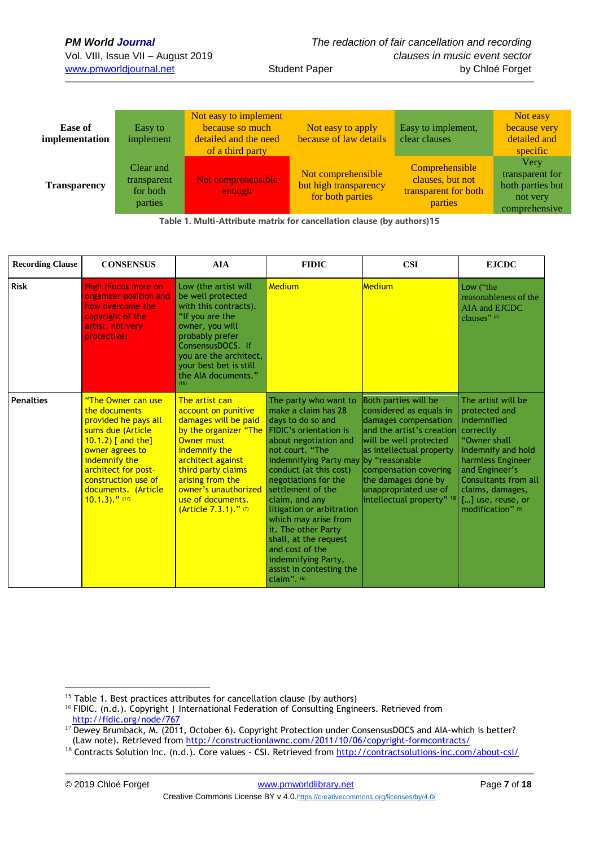| Ease of<br>implementation | Easy to<br>implement                            | Not easy to implement<br>because so much<br>detailed and the need<br>of a third party | Not easy to apply<br>because of law details                     | Easy to implement,<br>clear clauses                                   | Not easy<br>because very<br>detailed and<br>specific                     |
|---------------------------|-------------------------------------------------|---------------------------------------------------------------------------------------|-----------------------------------------------------------------|-----------------------------------------------------------------------|--------------------------------------------------------------------------|
| <b>Transparency</b>       | Clear and<br>transparent<br>for both<br>parties | Not comprehensible<br>enough                                                          | Not comprehensible<br>but high transparency<br>for both parties | Comprehensible<br>clauses, but not<br>transparent for both<br>parties | Very<br>transparent for<br>both parties but<br>not very<br>comprehensive |

**Table 1. Multi-Attribute matrix for cancellation clause (by authors)15**

| <b>Recording Clause</b> | <b>CONSENSUS</b>                                                                                                                                                                                                                                      | <b>AIA</b>                                                                                                                                                                                                                                                           | <b>FIDIC</b>                                                                                                                                                                                                                                                                                                                                                                                                                                                          | <b>CSI</b>                                                                                                                                                                                                                                                                   | <b>EJCDC</b>                                                                                                                                                                                                                       |
|-------------------------|-------------------------------------------------------------------------------------------------------------------------------------------------------------------------------------------------------------------------------------------------------|----------------------------------------------------------------------------------------------------------------------------------------------------------------------------------------------------------------------------------------------------------------------|-----------------------------------------------------------------------------------------------------------------------------------------------------------------------------------------------------------------------------------------------------------------------------------------------------------------------------------------------------------------------------------------------------------------------------------------------------------------------|------------------------------------------------------------------------------------------------------------------------------------------------------------------------------------------------------------------------------------------------------------------------------|------------------------------------------------------------------------------------------------------------------------------------------------------------------------------------------------------------------------------------|
| <b>Risk</b>             | <b>High (Focus more on</b><br>organizer position and<br>how overcome the<br>copyright of the<br>artist, not very<br>protective)                                                                                                                       | Low (the artist will<br>be well protected<br>with this contracts).<br>"If you are the<br>owner, you will<br>probably prefer<br>ConsensusDOCS. If<br>you are the architect,<br>your best bet is still<br>the AIA documents."<br>(16)                                  | Medium                                                                                                                                                                                                                                                                                                                                                                                                                                                                | <b>Medium</b>                                                                                                                                                                                                                                                                | Low ("the<br>reasonableness of the<br>AIA and EJCDC<br>clauses" (8)                                                                                                                                                                |
| <b>Penalties</b>        | "The Owner can use<br>the documents<br>provided he pays all<br>sums due (Article<br>10.1.2) $\lceil$ and the $\rceil$<br>owner agrees to<br>indemnify the<br>architect for post-<br>construction use of<br>documents. (Article<br>$10.1.3$ )." $(17)$ | The artist can<br>account on punitive<br>damages will be paid<br>by the organizer "The<br><b>Owner must</b><br>indemnify the<br>architect against<br>third party claims<br>arising from the<br>owner's unauthorized<br>use of documents.<br>$(Article 7.3.1).$ " (7) | The party who want to<br>make a claim has 28<br>days to do so and<br>FIDIC's orientation is<br>about negotiation and<br>not court. "The<br>indemnifying Party may by "reasonable<br>conduct (at this cost)<br>negotiations for the<br>settlement of the<br>claim, and any<br>litigation or arbitration<br>which may arise from<br>it. The other Party<br>shall, at the request<br>and cost of the<br>indemnifying Party,<br>assist in contesting the<br>claim". $(6)$ | Both parties will be<br>considered as equals in<br>damages compensation<br>land the artist's creation<br>will be well protected<br>as intellectual property<br>compensation covering<br>the damages done by<br>unappropriated use of<br>intellectual property" <sup>18</sup> | The artist will be<br>protected and<br>indemnified<br>correctly<br>"Owner shall<br>indemnify and hold<br>harmless Engineer<br>and Engineer's<br>Consultants from all<br>claims, damages,<br>[] use, reuse, or<br>modification" (9) |

1

<sup>&</sup>lt;sup>15</sup> Table 1. Best practices attributes for cancellation clause (by authors)

<sup>&</sup>lt;sup>16</sup> FIDIC. (n.d.). Copyright | International Federation of Consulting Engineers. Retrieved from <http://fidic.org/node/767>

<sup>17</sup> Dewey Brumback, M. (2011, October 6). Copyright Protection under ConsensusDOCS and AIA-which is better? (Law note). Retrieved from<http://constructionlawnc.com/2011/10/06/copyright-formcontracts/>

<sup>&</sup>lt;sup>18</sup> Contracts Solution Inc. (n.d.). Core values - CSI. Retrieved from http://contractsolutions-inc.com/about-csi/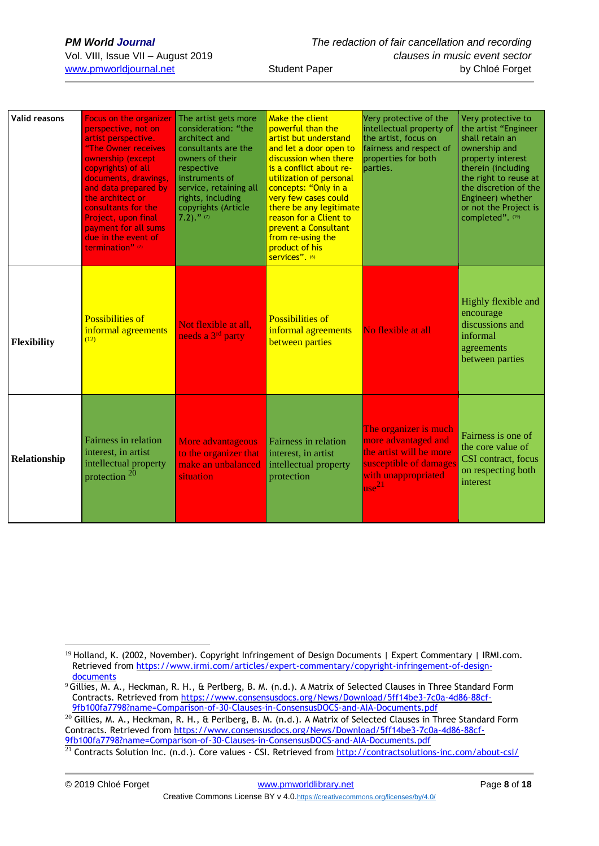| <b>Valid reasons</b> | Focus on the organizer<br>perspective, not on<br>artist perspective.<br>"The Owner receives<br>ownership (except<br>copyrights) of all<br>documents, drawings,<br>and data prepared by<br>the architect or<br>consultants for the<br>Project, upon final<br>payment for all sums<br>due in the event of<br>termination" (7) | The artist gets more<br>consideration: "the<br>architect and<br>consultants are the<br>owners of their<br>respective<br>instruments of<br>service, retaining all<br>rights, including<br>copyrights (Article<br>$7.2)$ ." (7) | Make the client<br>powerful than the<br>artist but understand<br>and let a door open to<br>discussion when there<br>is a conflict about re-<br>utilization of personal<br>concepts: "Only in a<br>very few cases could<br>there be any legitimate<br>reason for a Client to<br><b>prevent a Consultant</b><br>from re-using the<br>product of his<br>services". (6) | Very protective of the<br>intellectual property of<br>the artist, focus on<br>fairness and respect of<br>properties for both<br>parties. | Very protective to<br>the artist "Engineer<br>shall retain an<br>ownership and<br>property interest<br>therein (including<br>the right to reuse at<br>the discretion of the<br>Engineer) whether<br>or not the Project is<br>completed". (19) |
|----------------------|-----------------------------------------------------------------------------------------------------------------------------------------------------------------------------------------------------------------------------------------------------------------------------------------------------------------------------|-------------------------------------------------------------------------------------------------------------------------------------------------------------------------------------------------------------------------------|---------------------------------------------------------------------------------------------------------------------------------------------------------------------------------------------------------------------------------------------------------------------------------------------------------------------------------------------------------------------|------------------------------------------------------------------------------------------------------------------------------------------|-----------------------------------------------------------------------------------------------------------------------------------------------------------------------------------------------------------------------------------------------|
| <b>Flexibility</b>   | <b>Possibilities of</b><br>informal agreements<br>(12)                                                                                                                                                                                                                                                                      | Not flexible at all.<br>needs a 3 <sup>rd</sup> party                                                                                                                                                                         | <b>Possibilities of</b><br>informal agreements<br>between parties                                                                                                                                                                                                                                                                                                   | No flexible at all                                                                                                                       | Highly flexible and<br>encourage<br>discussions and<br>informal<br>agreements<br>between parties                                                                                                                                              |
| Relationship         | Fairness in relation<br>interest, in artist<br>intellectual property<br>protection <sup>20</sup>                                                                                                                                                                                                                            | More advantageous<br>to the organizer that<br>make an unbalanced<br>situation                                                                                                                                                 | Fairness in relation<br>interest, in artist<br>intellectual property<br>protection                                                                                                                                                                                                                                                                                  | The organizer is much<br>more advantaged and<br>the artist will be more<br>susceptible of damages<br>with unappropriated<br>$\log^{21}$  | Fairness is one of<br>the core value of<br>CSI contract, focus<br>on respecting both<br>interest                                                                                                                                              |

 $^{20}$  Gillies, M. A., Heckman, R. H., & Perlberg, B. M. (n.d.). A Matrix of Selected Clauses in Three Standard Form Contracts. Retrieved from [https://www.consensusdocs.org/News/Download/5ff14be3-7c0a-4d86-88cf-](https://www.consensusdocs.org/News/Download/5ff14be3-7c0a-4d86-88cf-9fb100fa7798?name=Comparison-of-30-Clauses-in-ConsensusDOCS-and-AIA-Documents.pdf)[9fb100fa7798?name=Comparison-of-30-Clauses-in-ConsensusDOCS-and-AIA-Documents.pdf](https://www.consensusdocs.org/News/Download/5ff14be3-7c0a-4d86-88cf-9fb100fa7798?name=Comparison-of-30-Clauses-in-ConsensusDOCS-and-AIA-Documents.pdf)

<sup>1</sup> <sup>19</sup> Holland, K. (2002, November). Copyright Infringement of Design Documents | Expert Commentary | IRMI.com. Retrieved from [https://www.irmi.com/articles/expert-commentary/copyright-infringement-of-design](https://www.irmi.com/articles/expert-commentary/copyright-infringement-of-design-documents)[documents](https://www.irmi.com/articles/expert-commentary/copyright-infringement-of-design-documents)

<sup>&</sup>lt;sup>9</sup> Gillies, M. A., Heckman, R. H., & Perlberg, B. M. (n.d.). A Matrix of Selected Clauses in Three Standard Form Contracts. Retrieved from [https://www.consensusdocs.org/News/Download/5ff14be3-7c0a-4d86-88cf-](https://www.consensusdocs.org/News/Download/5ff14be3-7c0a-4d86-88cf-9fb100fa7798?name=Comparison-of-30-Clauses-in-ConsensusDOCS-and-AIA-Documents.pdf)[9fb100fa7798?name=Comparison-of-30-Clauses-in-ConsensusDOCS-and-AIA-Documents.pdf](https://www.consensusdocs.org/News/Download/5ff14be3-7c0a-4d86-88cf-9fb100fa7798?name=Comparison-of-30-Clauses-in-ConsensusDOCS-and-AIA-Documents.pdf)

 $\frac{21}{21}$  Contracts Solution Inc. (n.d.). Core values - CSI. Retrieved from http://contractsolutions-inc.com/about-csi/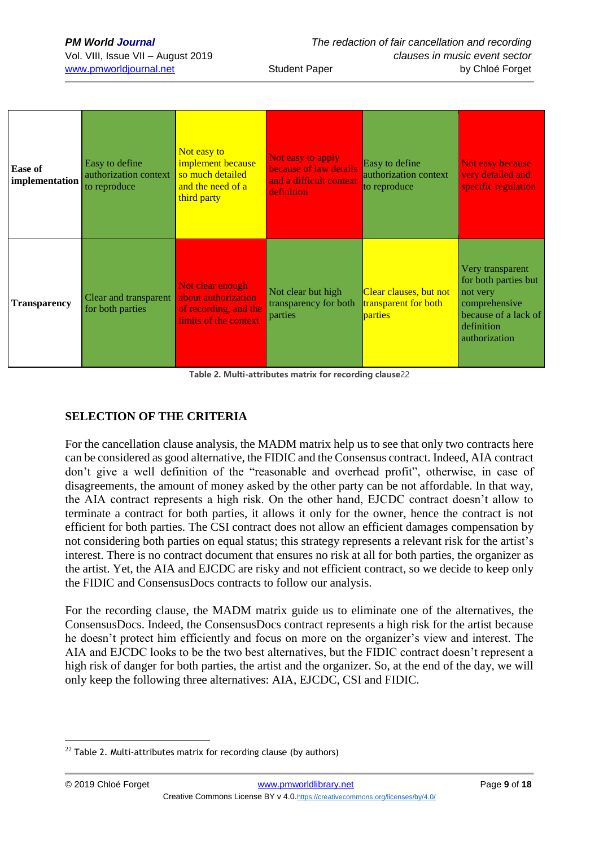| <b>PM World Journal</b>          |
|----------------------------------|
| Vol. VIII, Issue VII – August 20 |
| usus powediournol not            |

| <b>Ease of</b><br><i>implementation</i> | Easy to define<br>authorization context<br>to reproduce | Not easy to<br>implement because<br>so much detailed<br>and the need of a<br>third party  | Not easy to apply<br>because of law details<br>and a difficult context<br>definition | Easy to define<br>authorization context<br>to reproduce   | Not easy because<br>very detailed and<br>specific regulation                                                                 |
|-----------------------------------------|---------------------------------------------------------|-------------------------------------------------------------------------------------------|--------------------------------------------------------------------------------------|-----------------------------------------------------------|------------------------------------------------------------------------------------------------------------------------------|
| <b>Transparency</b>                     | Clear and transparent<br>for both parties               | Not clear enough<br>about authorization<br>of recording, and the<br>limits of the context | Not clear but high<br>transparency for both<br>parties                               | Clear clauses, but not<br>transparent for both<br>parties | Very transparent<br>for both parties but<br>not very<br>comprehensive<br>because of a lack of<br>definition<br>authorization |

**Table 2. Multi-attributes matrix for recording clause**22

## **SELECTION OF THE CRITERIA**

For the cancellation clause analysis, the MADM matrix help us to see that only two contracts here can be considered as good alternative, the FIDIC and the Consensus contract. Indeed, AIA contract don't give a well definition of the "reasonable and overhead profit", otherwise, in case of disagreements, the amount of money asked by the other party can be not affordable. In that way, the AIA contract represents a high risk. On the other hand, EJCDC contract doesn't allow to terminate a contract for both parties, it allows it only for the owner, hence the contract is not efficient for both parties. The CSI contract does not allow an efficient damages compensation by not considering both parties on equal status; this strategy represents a relevant risk for the artist's interest. There is no contract document that ensures no risk at all for both parties, the organizer as the artist. Yet, the AIA and EJCDC are risky and not efficient contract, so we decide to keep only the FIDIC and ConsensusDocs contracts to follow our analysis.

For the recording clause, the MADM matrix guide us to eliminate one of the alternatives, the ConsensusDocs. Indeed, the ConsensusDocs contract represents a high risk for the artist because he doesn't protect him efficiently and focus on more on the organizer's view and interest. The AIA and EJCDC looks to be the two best alternatives, but the FIDIC contract doesn't represent a high risk of danger for both parties, the artist and the organizer. So, at the end of the day, we will only keep the following three alternatives: AIA, EJCDC, CSI and FIDIC.

<u>.</u>

 $22$  Table 2. Multi-attributes matrix for recording clause (by authors)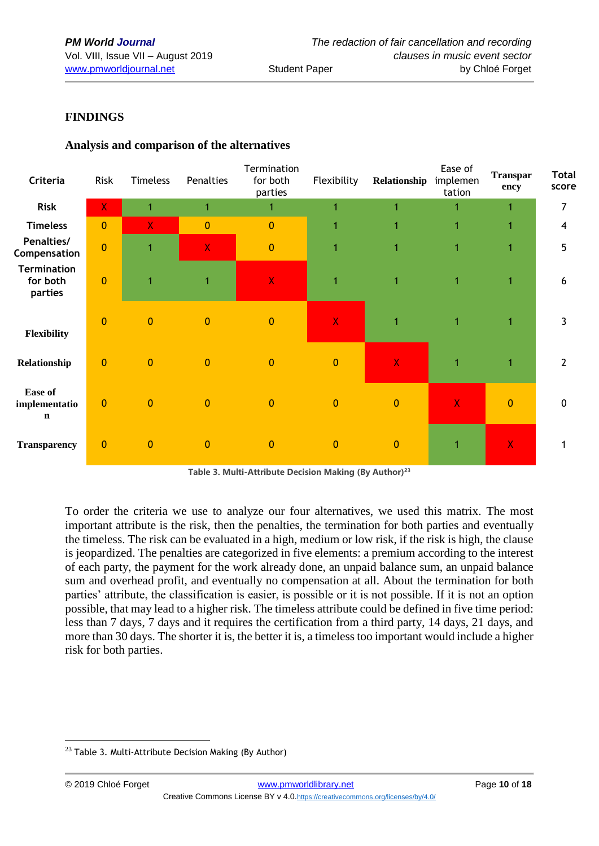#### **FINDINGS**

| Criteria                                       | Risk           | <b>Timeless</b> | Penalties               | Termination<br>for both<br>parties | Flexibility             | Relationship | Ease of<br>implemen<br>tation | <b>Transpar</b><br>ency | <b>Total</b><br>score |
|------------------------------------------------|----------------|-----------------|-------------------------|------------------------------------|-------------------------|--------------|-------------------------------|-------------------------|-----------------------|
| <b>Risk</b>                                    | $\mathsf{X}$   | 1               | 1                       | 1.                                 | 1                       |              |                               | 1                       | 7                     |
| <b>Timeless</b>                                | $\overline{0}$ | $\mathsf{X}$    | $\mathbf{0}$            | $\mathbf{0}$                       | 1                       |              | 1                             | 1                       | 4                     |
| Penalties/<br>Compensation                     | $\mathbf{0}$   | $\mathbf{1}$    | $\overline{\mathsf{X}}$ | $\pmb{0}$                          | 1                       | 1            | 1                             | 1                       | 5                     |
| <b>Termination</b><br>for both<br>parties      | $\overline{0}$ | $\mathbf{1}$    | 1                       | $\mathsf X$                        | 1                       | 1            | 1                             | 1                       | 6                     |
| Flexibility                                    | $\mathbf{0}$   | $\mathbf{0}$    | $\mathbf{0}$            | $\bf 0$                            | $\overline{\mathbf{X}}$ | 1            | $\blacktriangleleft$          | $\mathbf 1$             | 3                     |
| Relationship                                   | $\mathbf{0}$   | $\mathbf{0}$    | $\mathbf{0}$            | $\bf 0$                            | $\mathbf{0}$            | $\mathsf{X}$ | $\overline{1}$                | $\mathbf{1}$            | $\mathbf{2}$          |
| <b>Ease of</b><br>implementatio<br>$\mathbf n$ | $\overline{0}$ | $\mathbf{0}$    | $\mathbf{0}$            | $\bf 0$                            | $\mathbf{0}$            | $\mathbf{0}$ | $\mathsf{X}$                  | $\mathbf{0}$            | $\mathbf 0$           |
| <b>Transparency</b>                            | $\overline{0}$ | $\mathbf{0}$    | $\mathbf{0}$            | $\mathbf{0}$                       | $\mathbf{0}$            | $\mathbf{0}$ | 1                             | $\mathbf{X}$            |                       |

## **Analysis and comparison of the alternatives**

**Table 3. Multi-Attribute Decision Making (By Author)<sup>23</sup>**

To order the criteria we use to analyze our four alternatives, we used this matrix. The most important attribute is the risk, then the penalties, the termination for both parties and eventually the timeless. The risk can be evaluated in a high, medium or low risk, if the risk is high, the clause is jeopardized. The penalties are categorized in five elements: a premium according to the interest of each party, the payment for the work already done, an unpaid balance sum, an unpaid balance sum and overhead profit, and eventually no compensation at all. About the termination for both parties' attribute, the classification is easier, is possible or it is not possible. If it is not an option possible, that may lead to a higher risk. The timeless attribute could be defined in five time period: less than 7 days, 7 days and it requires the certification from a third party, 14 days, 21 days, and more than 30 days. The shorter it is, the better it is, a timeless too important would include a higher risk for both parties.

<sup>&</sup>lt;u>.</u>  $23$  Table 3. Multi-Attribute Decision Making (By Author)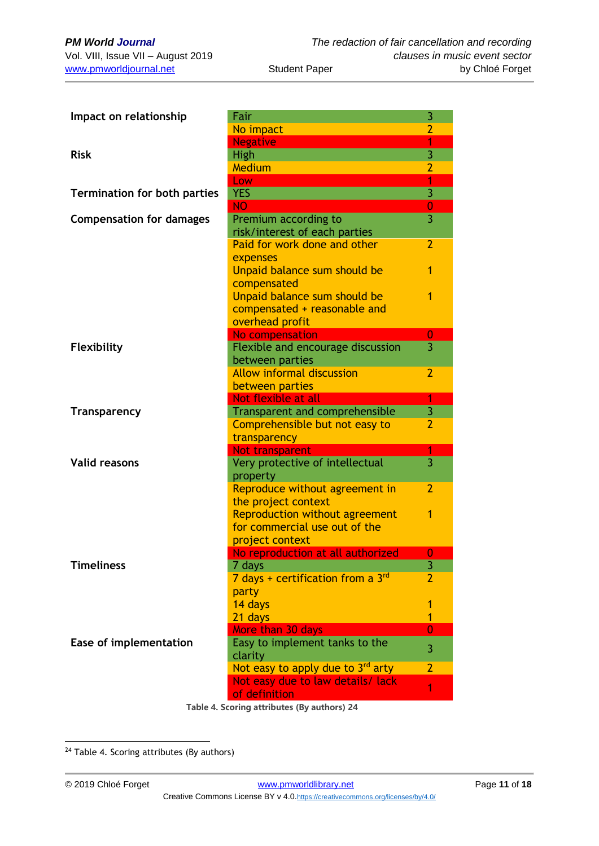| Impact on relationship              | Fair                                        | 3                         |
|-------------------------------------|---------------------------------------------|---------------------------|
|                                     | No impact                                   | $\overline{2}$            |
|                                     | <b>Negative</b>                             | 1                         |
| <b>Risk</b>                         | High                                        | $\overline{3}$            |
|                                     | Medium                                      | 2                         |
|                                     | Low                                         | 1                         |
| <b>Termination for both parties</b> | <b>YES</b>                                  | $\overline{3}$            |
|                                     | <b>NO</b>                                   | $\bf{0}$                  |
| <b>Compensation for damages</b>     | Premium according to                        | $\overline{3}$            |
|                                     | risk/interest of each parties               |                           |
|                                     | Paid for work done and other                | $\overline{2}$            |
|                                     | expenses                                    |                           |
|                                     | Unpaid balance sum should be<br>compensated | 1                         |
|                                     | Unpaid balance sum should be                | 1                         |
|                                     | compensated + reasonable and                |                           |
|                                     | overhead profit                             |                           |
|                                     | No compensation                             | 0                         |
| Flexibility                         | Flexible and encourage discussion           | $\overline{3}$            |
|                                     | between parties                             |                           |
|                                     | <b>Allow informal discussion</b>            | $\overline{2}$            |
|                                     | between parties                             |                           |
|                                     | Not flexible at all                         | 1                         |
| <b>Transparency</b>                 | Transparent and comprehensible              | $\overline{\overline{3}}$ |
|                                     | Comprehensible but not easy to              | $\overline{2}$            |
|                                     | transparency                                | 1                         |
| <b>Valid reasons</b>                | <b>Not transparent</b>                      | $\overline{3}$            |
|                                     | Very protective of intellectual<br>property |                           |
|                                     | Reproduce without agreement in              | $\overline{2}$            |
|                                     | the project context                         |                           |
|                                     | <b>Reproduction without agreement</b>       | 1                         |
|                                     | for commercial use out of the               |                           |
|                                     | project context                             |                           |
|                                     | No reproduction at all authorized           | $\overline{0}$            |
| <b>Timeliness</b>                   | 7 days                                      | 3                         |
|                                     | 7 days + certification from a 3rd           | $\overline{2}$            |
|                                     | party                                       |                           |
|                                     | 14 days                                     | 1                         |
|                                     | 21 days                                     | 1                         |
|                                     | More than 30 days                           | $\overline{0}$            |
| Ease of implementation              | Easy to implement tanks to the              | 3                         |
|                                     | clarity                                     |                           |
|                                     | Not easy to apply due to $3^{rd}$ arty      | $\overline{2}$            |
|                                     | Not easy due to law details/ lack           | 1                         |
|                                     | of definition                               |                           |

**Table 4. Scoring attributes (By authors) 24**

<u>.</u>

<sup>&</sup>lt;sup>24</sup> Table 4. Scoring attributes (By authors)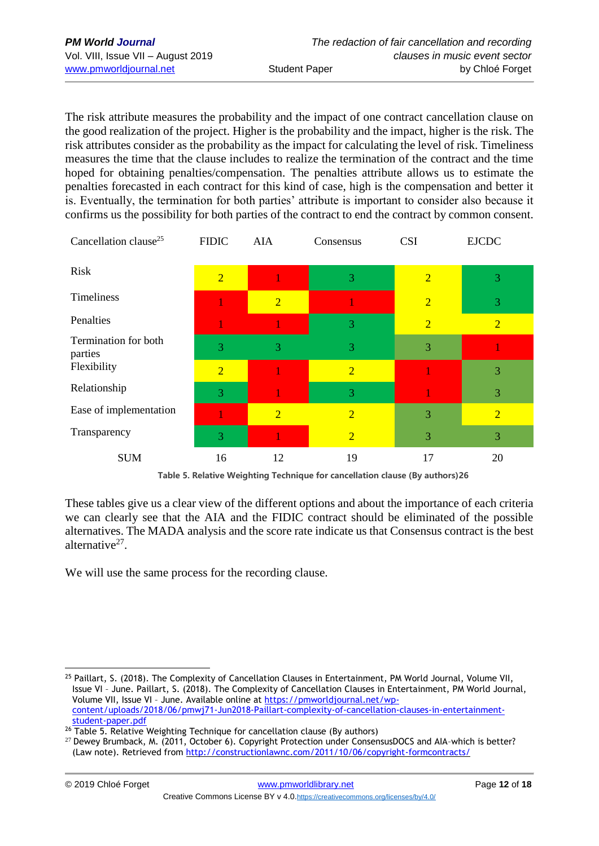The risk attribute measures the probability and the impact of one contract cancellation clause on the good realization of the project. Higher is the probability and the impact, higher is the risk. The risk attributes consider as the probability as the impact for calculating the level of risk. Timeliness measures the time that the clause includes to realize the termination of the contract and the time hoped for obtaining penalties/compensation. The penalties attribute allows us to estimate the penalties forecasted in each contract for this kind of case, high is the compensation and better it is. Eventually, the termination for both parties' attribute is important to consider also because it confirms us the possibility for both parties of the contract to end the contract by common consent.

| Cancellation clause <sup>25</sup> | <b>FIDIC</b>   | AIA            | Consensus      | <b>CSI</b>     | <b>EJCDC</b>   |
|-----------------------------------|----------------|----------------|----------------|----------------|----------------|
| Risk                              | $\overline{2}$ |                | 3              | $\overline{2}$ | 3              |
| Timeliness                        |                | $\overline{2}$ |                | $\overline{2}$ | 3              |
| Penalties                         |                |                | 3              | $\overline{2}$ | $\overline{2}$ |
| Termination for both<br>parties   | 3              | 3              | 3              | 3              |                |
| Flexibility                       | $\overline{2}$ |                | $\overline{2}$ |                | 3              |
| Relationship                      | 3              |                | 3              |                | 3              |
| Ease of implementation            |                | $\overline{2}$ | $\overline{2}$ | 3              | $\overline{2}$ |
| Transparency                      | 3              |                | $\overline{2}$ | 3              | 3              |
| <b>SUM</b>                        | 16             | 12             | 19             | 17             | 20             |

**Table 5. Relative Weighting Technique for cancellation clause (By authors)26**

These tables give us a clear view of the different options and about the importance of each criteria we can clearly see that the AIA and the FIDIC contract should be eliminated of the possible alternatives. The MADA analysis and the score rate indicate us that Consensus contract is the best alternative<sup>27</sup>.

We will use the same process for the recording clause.

<sup>&</sup>lt;u>.</u> <sup>25</sup> Paillart, S. (2018). The Complexity of Cancellation Clauses in Entertainment, PM World Journal, Volume VII, Issue VI – June. Paillart, S. (2018). The Complexity of Cancellation Clauses in Entertainment, PM World Journal, Volume VII, Issue VI – June. Available online at [https://pmworldjournal.net/wp](https://pmworldjournal.net/wp-content/uploads/2018/06/pmwj71-Jun2018-Paillart-complexity-of-cancellation-clauses-in-entertainment-student-paper.pdf)[content/uploads/2018/06/pmwj71-Jun2018-Paillart-complexity-of-cancellation-clauses-in-entertainment](https://pmworldjournal.net/wp-content/uploads/2018/06/pmwj71-Jun2018-Paillart-complexity-of-cancellation-clauses-in-entertainment-student-paper.pdf)[student-paper.pdf](https://pmworldjournal.net/wp-content/uploads/2018/06/pmwj71-Jun2018-Paillart-complexity-of-cancellation-clauses-in-entertainment-student-paper.pdf)

<sup>&</sup>lt;sup>26</sup> Table 5. Relative Weighting Technique for cancellation clause (By authors)

<sup>27</sup> Dewey Brumback, M. (2011, October 6). Copyright Protection under ConsensusDOCS and AIA–which is better? (Law note). Retrieved from<http://constructionlawnc.com/2011/10/06/copyright-formcontracts/>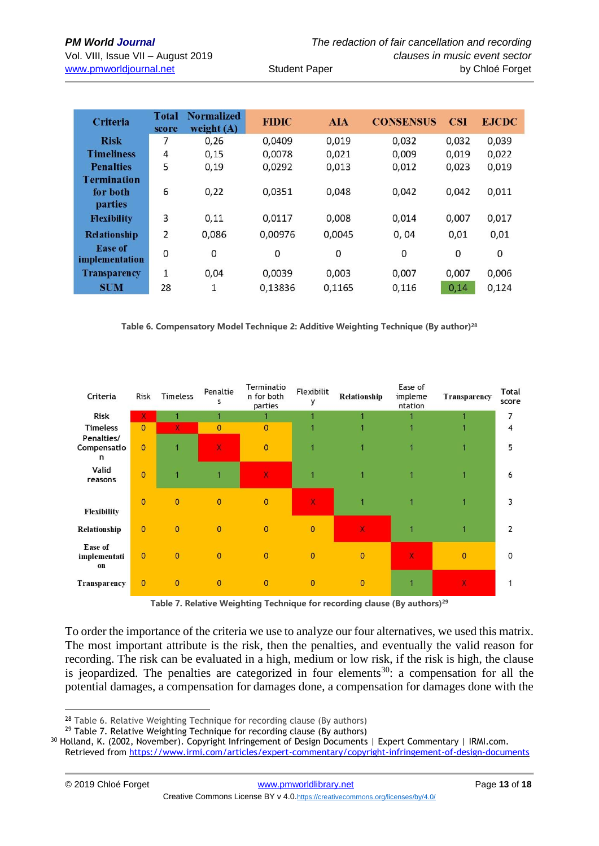| <b>Criteria</b>                  | <b>Total</b><br>score | <b>Normalized</b><br>weight $(A)$ | <b>FIDIC</b> | <b>AIA</b> | <b>CONSENSUS</b> | <b>CSI</b> | <b>EJCDC</b> |
|----------------------------------|-----------------------|-----------------------------------|--------------|------------|------------------|------------|--------------|
| <b>Risk</b>                      | 7                     | 0,26                              | 0.0409       | 0,019      | 0.032            | 0,032      | 0,039        |
| <b>Timeliness</b>                | 4                     | 0.15                              | 0,0078       | 0,021      | 0,009            | 0,019      | 0,022        |
| <b>Penalties</b>                 | 5                     | 0,19                              | 0,0292       | 0,013      | 0,012            | 0,023      | 0,019        |
| <b>Termination</b>               |                       |                                   |              |            |                  |            |              |
| for both                         | 6                     | 0,22                              | 0,0351       | 0,048      | 0,042            | 0,042      | 0,011        |
| parties                          |                       |                                   |              |            |                  |            |              |
| <b>Flexibility</b>               | $\overline{3}$        | 0,11                              | 0,0117       | 0,008      | 0,014            | 0,007      | 0,017        |
| <b>Relationship</b>              | $\overline{2}$        | 0,086                             | 0,00976      | 0,0045     | 0,04             | 0,01       | 0,01         |
| <b>Ease of</b><br>implementation | 0                     | 0                                 | 0            | 0          | 0                | 0          | 0            |
| <b>Transparency</b>              | $\mathbf{1}$          | 0.04                              | 0,0039       | 0.003      | 0.007            | 0.007      | 0,006        |
| <b>SUM</b>                       | 28                    | 1                                 | 0,13836      | 0,1165     | 0,116            | 0,14       | 0,124        |

**Table 6. Compensatory Model Technique 2: Additive Weighting Technique (By author)<sup>28</sup>**

| Criteria                             | <b>Risk</b>    | Timeless       | Penaltie<br>s  | Terminatio<br>n for both<br>parties | Flexibilit<br>у | Relationship | Ease of<br>impleme<br>ntation | Transparency   | Total<br>score |
|--------------------------------------|----------------|----------------|----------------|-------------------------------------|-----------------|--------------|-------------------------------|----------------|----------------|
| <b>Risk</b>                          | x              |                |                |                                     |                 |              |                               |                | 7              |
| <b>Timeless</b>                      | $\overline{0}$ | x              | $\mathbf{0}$   | $\overline{0}$                      |                 |              |                               |                | 4              |
| Penalties/<br>Compensatio<br>n       | $\overline{0}$ |                | $\pmb{\chi}$   | $\overline{0}$                      |                 |              |                               |                | 5              |
| Valid<br>reasons                     | $\overline{0}$ |                |                | x                                   |                 |              |                               |                | 6              |
| <b>Flexibility</b>                   | $\overline{0}$ | $\overline{0}$ | $\overline{0}$ | $\overline{0}$                      | X.              |              |                               |                | 3              |
| Relationship                         | $\mathbf{0}$   | $\mathbf{0}$   | $\overline{0}$ | $\overline{0}$                      | $\overline{0}$  | $\mathbf{x}$ |                               |                | $\overline{2}$ |
| <b>Ease of</b><br>implementati<br>on | $\overline{0}$ | $\mathbf{0}$   | $\Omega$       | $\overline{0}$                      | $\overline{0}$  | $\mathbf{0}$ | $\mathbf{x}$                  | $\overline{0}$ | $\Omega$       |
| <b>Transparency</b>                  | $\overline{0}$ | $\mathbf{0}$   | $\mathbf{0}$   | $\overline{0}$                      | $\mathbf{0}$    | $\mathbf{0}$ |                               | x              | 1              |

**Table 7. Relative Weighting Technique for recording clause (By authors)<sup>29</sup>**

To order the importance of the criteria we use to analyze our four alternatives, we used this matrix. The most important attribute is the risk, then the penalties, and eventually the valid reason for recording. The risk can be evaluated in a high, medium or low risk, if the risk is high, the clause is jeopardized. The penalties are categorized in four elements<sup>30</sup>: a compensation for all the potential damages, a compensation for damages done, a compensation for damages done with the

<sup>1</sup> <sup>28</sup> Table 6. Relative Weighting Technique for recording clause (By authors)

 $29$  Table 7. Relative Weighting Technique for recording clause (By authors)

<sup>30</sup> Holland, K. (2002, November). Copyright Infringement of Design Documents | Expert Commentary | IRMI.com. Retrieved from<https://www.irmi.com/articles/expert-commentary/copyright-infringement-of-design-documents>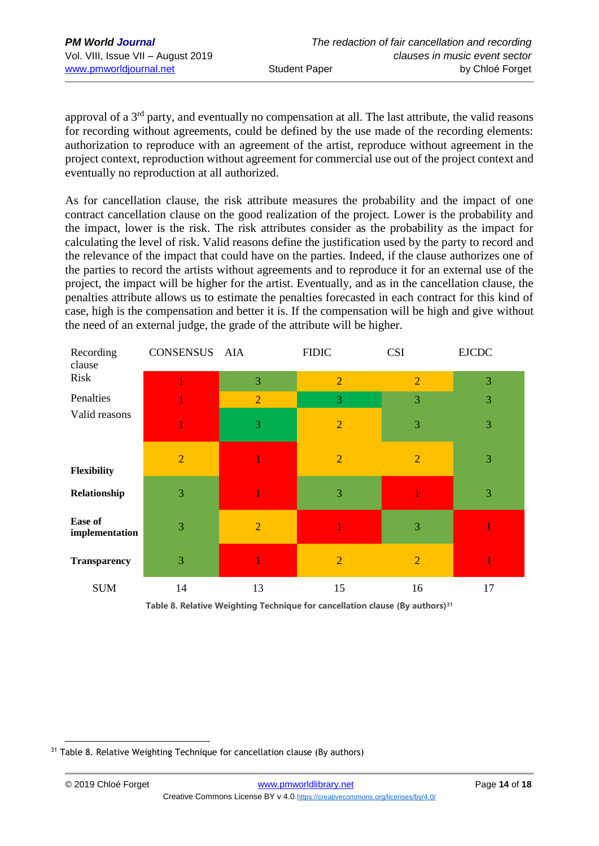approval of a 3rd party, and eventually no compensation at all. The last attribute, the valid reasons for recording without agreements, could be defined by the use made of the recording elements: authorization to reproduce with an agreement of the artist, reproduce without agreement in the project context, reproduction without agreement for commercial use out of the project context and eventually no reproduction at all authorized.

As for cancellation clause, the risk attribute measures the probability and the impact of one contract cancellation clause on the good realization of the project. Lower is the probability and the impact, lower is the risk. The risk attributes consider as the probability as the impact for calculating the level of risk. Valid reasons define the justification used by the party to record and the relevance of the impact that could have on the parties. Indeed, if the clause authorizes one of the parties to record the artists without agreements and to reproduce it for an external use of the project, the impact will be higher for the artist. Eventually, and as in the cancellation clause, the penalties attribute allows us to estimate the penalties forecasted in each contract for this kind of case, high is the compensation and better it is. If the compensation will be high and give without the need of an external judge, the grade of the attribute will be higher.

| Recording<br>clause       | CONSENSUS AIA  |                | <b>FIDIC</b>   | <b>CSI</b>     | <b>EJCDC</b> |  |
|---------------------------|----------------|----------------|----------------|----------------|--------------|--|
| Risk                      |                | 3              | $\overline{2}$ | $\overline{2}$ | 3            |  |
| Penalties                 |                | $\overline{2}$ | 3              | 3              | 3            |  |
| Valid reasons             |                | 3              | $\overline{2}$ | 3              | 3            |  |
| Flexibility               | $\overline{2}$ |                | $\overline{2}$ | $\overline{2}$ | 3            |  |
| Relationship              | 3              |                | 3              |                | 3            |  |
| Ease of<br>implementation | 3              | $\overline{2}$ |                | 3              |              |  |
| <b>Transparency</b>       | 3              |                | $\overline{2}$ | $\overline{2}$ |              |  |
| <b>SUM</b>                | 14             | 13             | 15             | 16             | 17           |  |

**Table 8. Relative Weighting Technique for cancellation clause (By authors)<sup>31</sup>**

<u>.</u> <sup>31</sup> Table 8. Relative Weighting Technique for cancellation clause (By authors)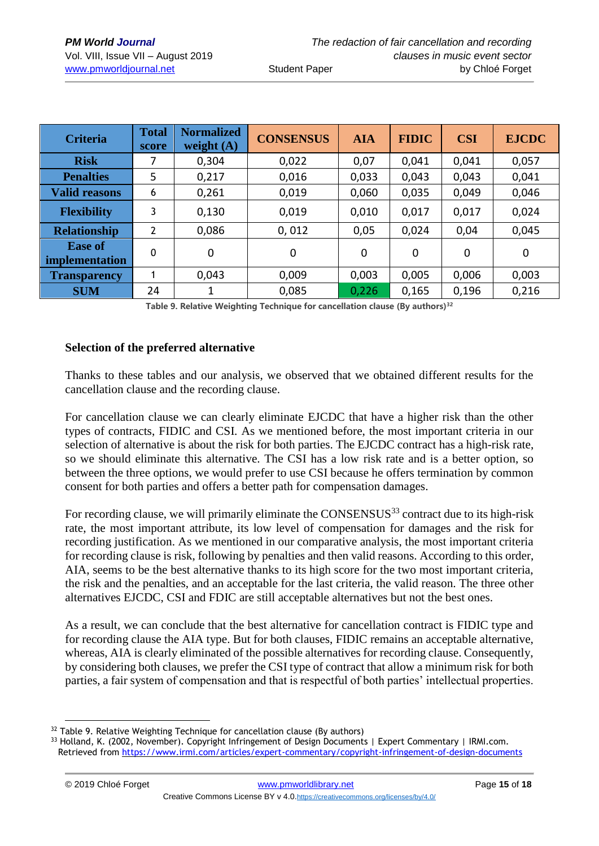| <b>Criteria</b>                  | <b>Total</b><br>score | <b>Normalized</b><br>weight $(A)$ | <b>CONSENSUS</b> | <b>AIA</b> | <b>FIDIC</b> | <b>CSI</b> | <b>EJCDC</b> |
|----------------------------------|-----------------------|-----------------------------------|------------------|------------|--------------|------------|--------------|
| <b>Risk</b>                      | 7                     | 0,304                             | 0,022            | 0,07       | 0,041        | 0,041      | 0,057        |
| <b>Penalties</b>                 | 5                     | 0,217                             | 0,016            | 0,033      | 0,043        | 0,043      | 0,041        |
| <b>Valid reasons</b>             | 6                     | 0,261                             | 0,019            | 0,060      | 0,035        | 0,049      | 0,046        |
| <b>Flexibility</b>               | 3                     | 0,130                             | 0,019            | 0,010      | 0,017        | 0,017      | 0,024        |
| <b>Relationship</b>              | 2                     | 0,086                             | 0,012            | 0,05       | 0,024        | 0,04       | 0,045        |
| <b>Ease of</b><br>implementation | 0                     | $\mathbf 0$                       | 0                | 0          | 0            | 0          | $\mathbf 0$  |
| <b>Transparency</b>              | 1                     | 0,043                             | 0,009            | 0,003      | 0,005        | 0,006      | 0,003        |
| <b>SUM</b>                       | 24                    |                                   | 0,085            | 0,226      | 0,165        | 0,196      | 0,216        |

**Table 9. Relative Weighting Technique for cancellation clause (By authors)<sup>32</sup>**

#### **Selection of the preferred alternative**

Thanks to these tables and our analysis, we observed that we obtained different results for the cancellation clause and the recording clause.

For cancellation clause we can clearly eliminate EJCDC that have a higher risk than the other types of contracts, FIDIC and CSI. As we mentioned before, the most important criteria in our selection of alternative is about the risk for both parties. The EJCDC contract has a high-risk rate, so we should eliminate this alternative. The CSI has a low risk rate and is a better option, so between the three options, we would prefer to use CSI because he offers termination by common consent for both parties and offers a better path for compensation damages.

For recording clause, we will primarily eliminate the CONSENSUS<sup>33</sup> contract due to its high-risk rate, the most important attribute, its low level of compensation for damages and the risk for recording justification. As we mentioned in our comparative analysis, the most important criteria for recording clause is risk, following by penalties and then valid reasons. According to this order, AIA, seems to be the best alternative thanks to its high score for the two most important criteria, the risk and the penalties, and an acceptable for the last criteria, the valid reason. The three other alternatives EJCDC, CSI and FDIC are still acceptable alternatives but not the best ones.

As a result, we can conclude that the best alternative for cancellation contract is FIDIC type and for recording clause the AIA type. But for both clauses, FIDIC remains an acceptable alternative, whereas, AIA is clearly eliminated of the possible alternatives for recording clause. Consequently, by considering both clauses, we prefer the CSI type of contract that allow a minimum risk for both parties, a fair system of compensation and that is respectful of both parties' intellectual properties.

1

<sup>&</sup>lt;sup>32</sup> Table 9. Relative Weighting Technique for cancellation clause (By authors)

<sup>33</sup> Holland, K. (2002, November). Copyright Infringement of Design Documents | Expert Commentary | IRMI.com. Retrieved from<https://www.irmi.com/articles/expert-commentary/copyright-infringement-of-design-documents>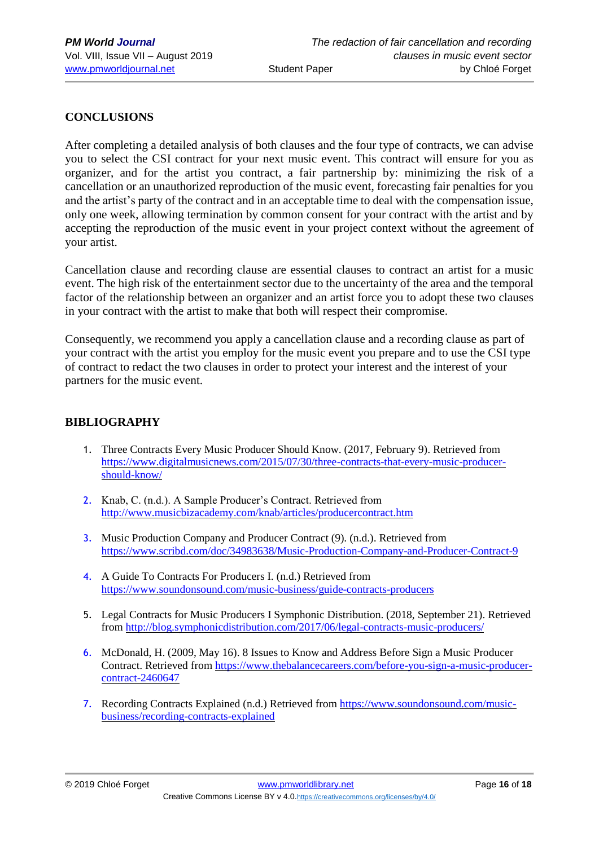## **CONCLUSIONS**

After completing a detailed analysis of both clauses and the four type of contracts, we can advise you to select the CSI contract for your next music event. This contract will ensure for you as organizer, and for the artist you contract, a fair partnership by: minimizing the risk of a cancellation or an unauthorized reproduction of the music event, forecasting fair penalties for you and the artist's party of the contract and in an acceptable time to deal with the compensation issue, only one week, allowing termination by common consent for your contract with the artist and by accepting the reproduction of the music event in your project context without the agreement of your artist.

Cancellation clause and recording clause are essential clauses to contract an artist for a music event. The high risk of the entertainment sector due to the uncertainty of the area and the temporal factor of the relationship between an organizer and an artist force you to adopt these two clauses in your contract with the artist to make that both will respect their compromise.

Consequently, we recommend you apply a cancellation clause and a recording clause as part of your contract with the artist you employ for the music event you prepare and to use the CSI type of contract to redact the two clauses in order to protect your interest and the interest of your partners for the music event.

#### **BIBLIOGRAPHY**

- 1. Three Contracts Every Music Producer Should Know. (2017, February 9). Retrieved from [https://www.digitalmusicnews.com/2015/07/30/three-contracts-that-every-music-producer](https://www.digitalmusicnews.com/2015/07/30/three-contracts-that-every-music-producer-should-know/)[should-know/](https://www.digitalmusicnews.com/2015/07/30/three-contracts-that-every-music-producer-should-know/)
- 2. Knab, C. (n.d.). A Sample Producer's Contract. Retrieved from <http://www.musicbizacademy.com/knab/articles/producercontract.htm>
- 3. Music Production Company and Producer Contract (9). (n.d.). Retrieved from <https://www.scribd.com/doc/34983638/Music-Production-Company-and-Producer-Contract-9>
- 4. A Guide To Contracts For Producers I. (n.d.) Retrieved from <https://www.soundonsound.com/music-business/guide-contracts-producers>
- 5. Legal Contracts for Music Producers I Symphonic Distribution. (2018, September 21). Retrieved from<http://blog.symphonicdistribution.com/2017/06/legal-contracts-music-producers/>
- 6. McDonald, H. (2009, May 16). 8 Issues to Know and Address Before Sign a Music Producer Contract. Retrieved from [https://www.thebalancecareers.com/before-you-sign-a-music-producer](https://www.thebalancecareers.com/before-you-sign-a-music-producer-contract-2460647)[contract-2460647](https://www.thebalancecareers.com/before-you-sign-a-music-producer-contract-2460647)
- 7. Recording Contracts Explained (n.d.) Retrieved from [https://www.soundonsound.com/music](https://www.soundonsound.com/music-business/recording-contracts-explained)[business/recording-contracts-explained](https://www.soundonsound.com/music-business/recording-contracts-explained)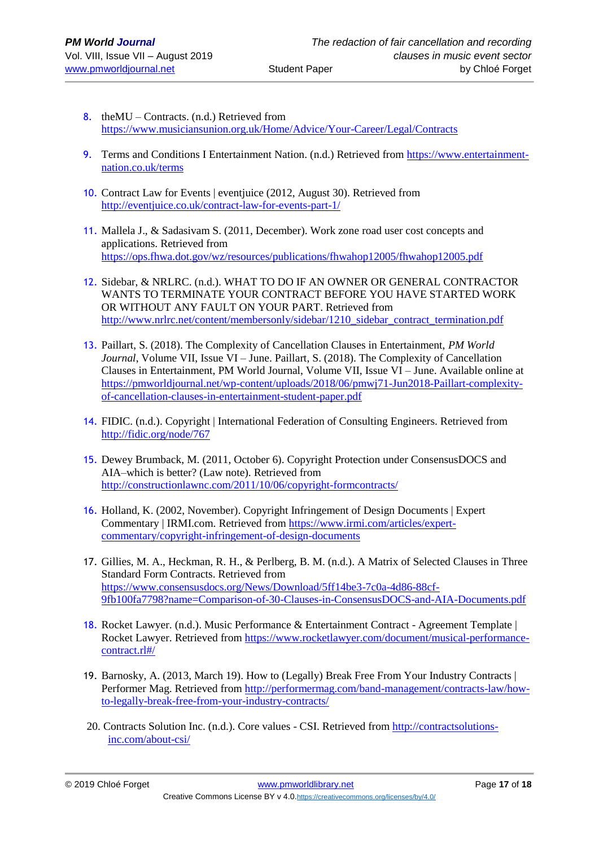- 8. the MU Contracts.  $(n.d.)$  Retrieved from <https://www.musiciansunion.org.uk/Home/Advice/Your-Career/Legal/Contracts>
- 9. Terms and Conditions I Entertainment Nation. (n.d.) Retrieved from [https://www.entertainment](https://www.entertainment-nation.co.uk/terms)[nation.co.uk/terms](https://www.entertainment-nation.co.uk/terms)
- 10. Contract Law for Events | eventjuice (2012, August 30). Retrieved from <http://eventjuice.co.uk/contract-law-for-events-part-1/>
- 11. Mallela J., & Sadasivam S. (2011, December). Work zone road user cost concepts and applications. Retrieved from <https://ops.fhwa.dot.gov/wz/resources/publications/fhwahop12005/fhwahop12005.pdf>
- 12. Sidebar, & NRLRC. (n.d.). WHAT TO DO IF AN OWNER OR GENERAL CONTRACTOR WANTS TO TERMINATE YOUR CONTRACT BEFORE YOU HAVE STARTED WORK OR WITHOUT ANY FAULT ON YOUR PART. Retrieved from [http://www.nrlrc.net/content/membersonly/sidebar/1210\\_sidebar\\_contract\\_termination.pdf](http://www.nrlrc.net/content/membersonly/sidebar/1210_sidebar_contract_termination.pdf)
- 13. Paillart, S. (2018). The Complexity of Cancellation Clauses in Entertainment, *PM World Journal*, Volume VII, Issue VI – June. Paillart, S. (2018). The Complexity of Cancellation Clauses in Entertainment, PM World Journal, Volume VII, Issue VI – June. Available online at [https://pmworldjournal.net/wp-content/uploads/2018/06/pmwj71-Jun2018-Paillart-complexity](https://pmworldjournal.net/wp-content/uploads/2018/06/pmwj71-Jun2018-Paillart-complexity-of-cancellation-clauses-in-entertainment-student-paper.pdf)[of-cancellation-clauses-in-entertainment-student-paper.pdf](https://pmworldjournal.net/wp-content/uploads/2018/06/pmwj71-Jun2018-Paillart-complexity-of-cancellation-clauses-in-entertainment-student-paper.pdf)
- 14. FIDIC. (n.d.). Copyright | International Federation of Consulting Engineers. Retrieved from <http://fidic.org/node/767>
- 15. Dewey Brumback, M. (2011, October 6). Copyright Protection under ConsensusDOCS and AIA–which is better? (Law note). Retrieved from <http://constructionlawnc.com/2011/10/06/copyright-formcontracts/>
- 16. Holland, K. (2002, November). Copyright Infringement of Design Documents | Expert Commentary | IRMI.com. Retrieved from [https://www.irmi.com/articles/expert](https://www.irmi.com/articles/expert-commentary/copyright-infringement-of-design-documents)[commentary/copyright-infringement-of-design-documents](https://www.irmi.com/articles/expert-commentary/copyright-infringement-of-design-documents)
- 17. Gillies, M. A., Heckman, R. H., & Perlberg, B. M. (n.d.). A Matrix of Selected Clauses in Three Standard Form Contracts. Retrieved from [https://www.consensusdocs.org/News/Download/5ff14be3-7c0a-4d86-88cf-](https://www.consensusdocs.org/News/Download/5ff14be3-7c0a-4d86-88cf-9fb100fa7798?name=Comparison-of-30-Clauses-in-ConsensusDOCS-and-AIA-Documents.pdf)[9fb100fa7798?name=Comparison-of-30-Clauses-in-ConsensusDOCS-and-AIA-Documents.pdf](https://www.consensusdocs.org/News/Download/5ff14be3-7c0a-4d86-88cf-9fb100fa7798?name=Comparison-of-30-Clauses-in-ConsensusDOCS-and-AIA-Documents.pdf)
- 18. Rocket Lawyer. (n.d.). Music Performance & Entertainment Contract Agreement Template | Rocket Lawyer. Retrieved from [https://www.rocketlawyer.com/document/musical-performance](https://www.rocketlawyer.com/document/musical-performance-contract.rl#/)[contract.rl#/](https://www.rocketlawyer.com/document/musical-performance-contract.rl#/)
- 19. Barnosky, A. (2013, March 19). How to (Legally) Break Free From Your Industry Contracts | Performer Mag. Retrieved from [http://performermag.com/band-management/contracts-law/how](http://performermag.com/band-management/contracts-law/how-to-legally-break-free-from-your-industry-contracts/)[to-legally-break-free-from-your-industry-contracts/](http://performermag.com/band-management/contracts-law/how-to-legally-break-free-from-your-industry-contracts/)
- 20. Contracts Solution Inc. (n.d.). Core values CSI. Retrieved from http://contractsolutionsinc.com/about-csi/